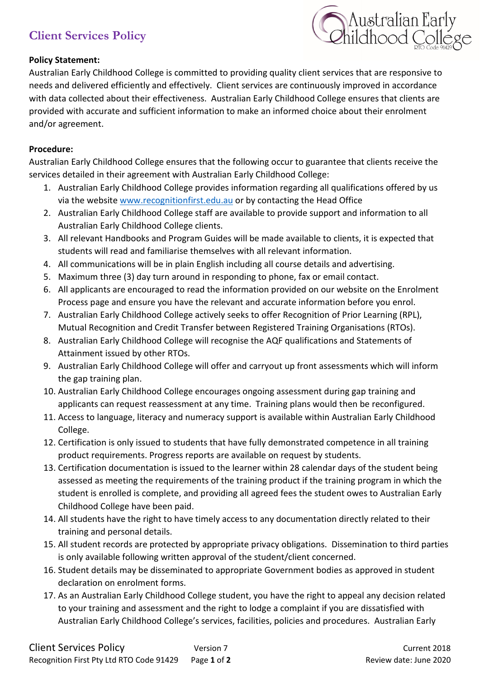# **Client Services Policy**



## **Policy Statement:**

Australian Early Childhood College is committed to providing quality client services that are responsive to needs and delivered efficiently and effectively. Client services are continuously improved in accordance with data collected about their effectiveness. Australian Early Childhood College ensures that clients are provided with accurate and sufficient information to make an informed choice about their enrolment and/or agreement.

### **Procedure:**

Australian Early Childhood College ensures that the following occur to guarantee that clients receive the services detailed in their agreement with Australian Early Childhood College:

- 1. Australian Early Childhood College provides information regarding all qualifications offered by us via the websit[e www.recognitionfirst.edu.au](http://www.recognitionfirst.edu.au/) or by contacting the Head Office
- 2. Australian Early Childhood College staff are available to provide support and information to all Australian Early Childhood College clients.
- 3. All relevant Handbooks and Program Guides will be made available to clients, it is expected that students will read and familiarise themselves with all relevant information.
- 4. All communications will be in plain English including all course details and advertising.
- 5. Maximum three (3) day turn around in responding to phone, fax or email contact.
- 6. All applicants are encouraged to read the information provided on our website on the Enrolment Process page and ensure you have the relevant and accurate information before you enrol.
- 7. Australian Early Childhood College actively seeks to offer Recognition of Prior Learning (RPL), Mutual Recognition and Credit Transfer between Registered Training Organisations (RTOs).
- 8. Australian Early Childhood College will recognise the AQF qualifications and Statements of Attainment issued by other RTOs.
- 9. Australian Early Childhood College will offer and carryout up front assessments which will inform the gap training plan.
- 10. Australian Early Childhood College encourages ongoing assessment during gap training and applicants can request reassessment at any time. Training plans would then be reconfigured.
- 11. Access to language, literacy and numeracy support is available within Australian Early Childhood College.
- 12. Certification is only issued to students that have fully demonstrated competence in all training product requirements. Progress reports are available on request by students.
- 13. Certification documentation is issued to the learner within 28 calendar days of the student being assessed as meeting the requirements of the training product if the training program in which the student is enrolled is complete, and providing all agreed fees the student owes to Australian Early Childhood College have been paid.
- 14. All students have the right to have timely access to any documentation directly related to their training and personal details.
- 15. All student records are protected by appropriate privacy obligations. Dissemination to third parties is only available following written approval of the student/client concerned.
- 16. Student details may be disseminated to appropriate Government bodies as approved in student declaration on enrolment forms.
- 17. As an Australian Early Childhood College student, you have the right to appeal any decision related to your training and assessment and the right to lodge a complaint if you are dissatisfied with Australian Early Childhood College's services, facilities, policies and procedures. Australian Early